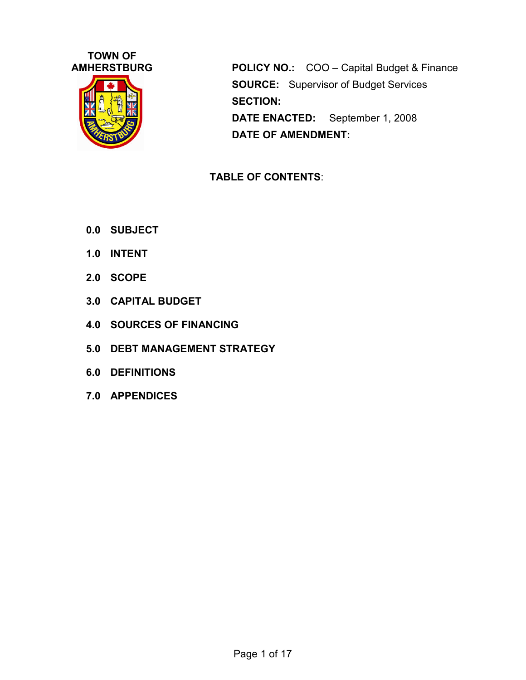

**POLICY NO.:** COO – Capital Budget & Finance **SOURCE:** Supervisor of Budget Services **SECTION: DATE ENACTED:** September 1, 2008 **DATE OF AMENDMENT:**

## **TABLE OF CONTENTS**:

- **0.0 SUBJECT**
- **1.0 INTENT**
- **2.0 SCOPE**
- **3.0 CAPITAL BUDGET**
- **4.0 SOURCES OF FINANCING**
- **5.0 DEBT MANAGEMENT STRATEGY**
- **6.0 DEFINITIONS**
- **7.0 APPENDICES**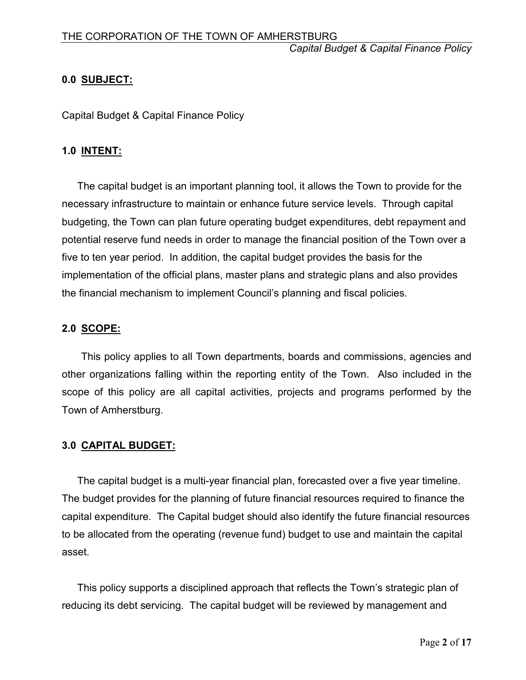## **0.0 SUBJECT:**

Capital Budget & Capital Finance Policy

#### **1.0 INTENT:**

The capital budget is an important planning tool, it allows the Town to provide for the necessary infrastructure to maintain or enhance future service levels. Through capital budgeting, the Town can plan future operating budget expenditures, debt repayment and potential reserve fund needs in order to manage the financial position of the Town over a five to ten year period. In addition, the capital budget provides the basis for the implementation of the official plans, master plans and strategic plans and also provides the financial mechanism to implement Council's planning and fiscal policies.

#### **2.0 SCOPE:**

This policy applies to all Town departments, boards and commissions, agencies and other organizations falling within the reporting entity of the Town. Also included in the scope of this policy are all capital activities, projects and programs performed by the Town of Amherstburg.

## **3.0 CAPITAL BUDGET:**

The capital budget is a multi-year financial plan, forecasted over a five year timeline. The budget provides for the planning of future financial resources required to finance the capital expenditure. The Capital budget should also identify the future financial resources to be allocated from the operating (revenue fund) budget to use and maintain the capital asset.

This policy supports a disciplined approach that reflects the Town's strategic plan of reducing its debt servicing. The capital budget will be reviewed by management and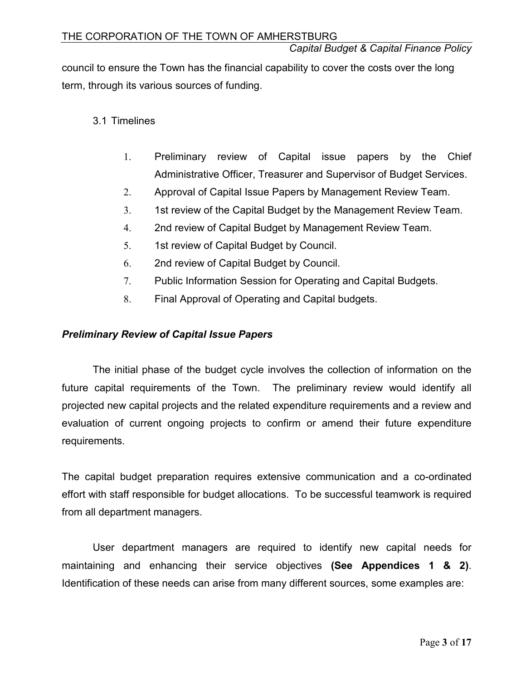council to ensure the Town has the financial capability to cover the costs over the long term, through its various sources of funding.

## 3.1 Timelines

- 1. Preliminary review of Capital issue papers by the Chief Administrative Officer, Treasurer and Supervisor of Budget Services.
- 2. Approval of Capital Issue Papers by Management Review Team.
- 3. 1st review of the Capital Budget by the Management Review Team.
- 4. 2nd review of Capital Budget by Management Review Team.
- 5. 1st review of Capital Budget by Council.
- 6. 2nd review of Capital Budget by Council.
- 7. Public Information Session for Operating and Capital Budgets.
- 8. Final Approval of Operating and Capital budgets.

#### *Preliminary Review of Capital Issue Papers*

The initial phase of the budget cycle involves the collection of information on the future capital requirements of the Town. The preliminary review would identify all projected new capital projects and the related expenditure requirements and a review and evaluation of current ongoing projects to confirm or amend their future expenditure requirements.

The capital budget preparation requires extensive communication and a co-ordinated effort with staff responsible for budget allocations. To be successful teamwork is required from all department managers.

User department managers are required to identify new capital needs for maintaining and enhancing their service objectives **(See Appendices 1 & 2)**. Identification of these needs can arise from many different sources, some examples are: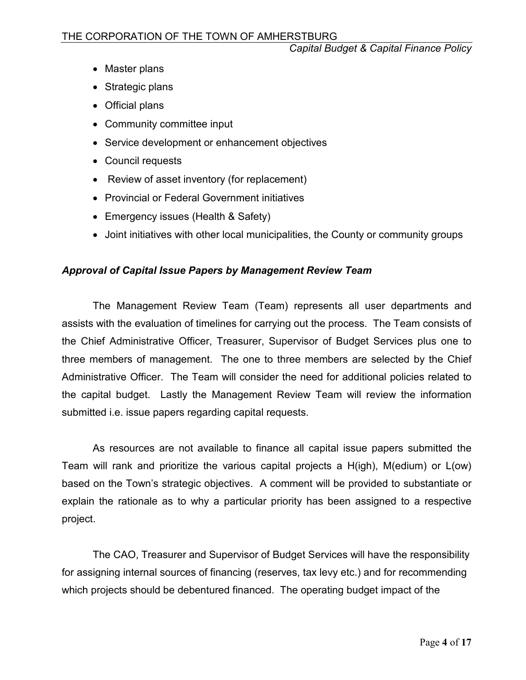- Master plans
- Strategic plans
- Official plans
- Community committee input
- Service development or enhancement objectives
- Council requests
- Review of asset inventory (for replacement)
- Provincial or Federal Government initiatives
- Emergency issues (Health & Safety)
- Joint initiatives with other local municipalities, the County or community groups

## *Approval of Capital Issue Papers by Management Review Team*

The Management Review Team (Team) represents all user departments and assists with the evaluation of timelines for carrying out the process. The Team consists of the Chief Administrative Officer, Treasurer, Supervisor of Budget Services plus one to three members of management. The one to three members are selected by the Chief Administrative Officer. The Team will consider the need for additional policies related to the capital budget. Lastly the Management Review Team will review the information submitted i.e. issue papers regarding capital requests.

As resources are not available to finance all capital issue papers submitted the Team will rank and prioritize the various capital projects a H(igh), M(edium) or L(ow) based on the Town's strategic objectives. A comment will be provided to substantiate or explain the rationale as to why a particular priority has been assigned to a respective project.

The CAO, Treasurer and Supervisor of Budget Services will have the responsibility for assigning internal sources of financing (reserves, tax levy etc.) and for recommending which projects should be debentured financed. The operating budget impact of the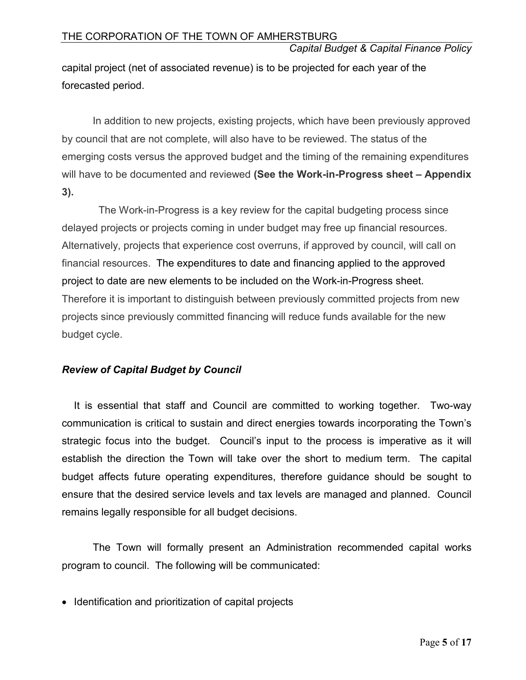capital project (net of associated revenue) is to be projected for each year of the forecasted period.

In addition to new projects, existing projects, which have been previously approved by council that are not complete, will also have to be reviewed. The status of the emerging costs versus the approved budget and the timing of the remaining expenditures will have to be documented and reviewed **(See the Work-in-Progress sheet – Appendix 3).**

The Work-in-Progress is a key review for the capital budgeting process since delayed projects or projects coming in under budget may free up financial resources. Alternatively, projects that experience cost overruns, if approved by council, will call on financial resources. The expenditures to date and financing applied to the approved project to date are new elements to be included on the Work-in-Progress sheet. Therefore it is important to distinguish between previously committed projects from new projects since previously committed financing will reduce funds available for the new budget cycle.

## *Review of Capital Budget by Council*

It is essential that staff and Council are committed to working together. Two-way communication is critical to sustain and direct energies towards incorporating the Town's strategic focus into the budget. Council's input to the process is imperative as it will establish the direction the Town will take over the short to medium term. The capital budget affects future operating expenditures, therefore guidance should be sought to ensure that the desired service levels and tax levels are managed and planned. Council remains legally responsible for all budget decisions.

The Town will formally present an Administration recommended capital works program to council. The following will be communicated:

• Identification and prioritization of capital projects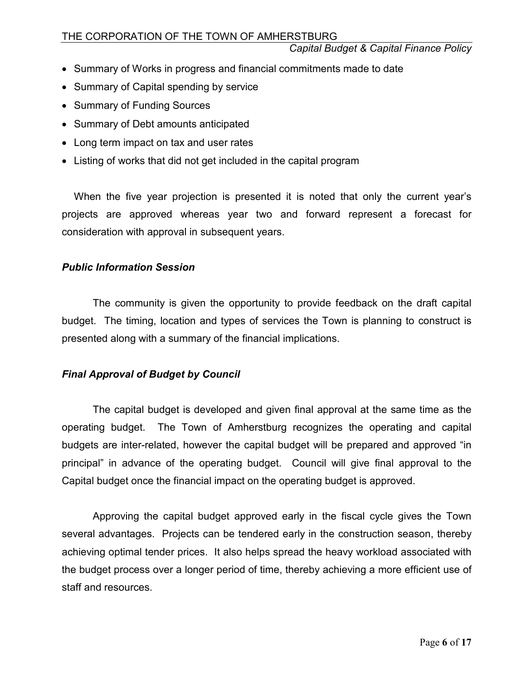- Summary of Works in progress and financial commitments made to date
- Summary of Capital spending by service
- Summary of Funding Sources
- Summary of Debt amounts anticipated
- Long term impact on tax and user rates
- Listing of works that did not get included in the capital program

When the five year projection is presented it is noted that only the current year's projects are approved whereas year two and forward represent a forecast for consideration with approval in subsequent years.

#### *Public Information Session*

The community is given the opportunity to provide feedback on the draft capital budget. The timing, location and types of services the Town is planning to construct is presented along with a summary of the financial implications.

## *Final Approval of Budget by Council*

The capital budget is developed and given final approval at the same time as the operating budget. The Town of Amherstburg recognizes the operating and capital budgets are inter-related, however the capital budget will be prepared and approved "in principal" in advance of the operating budget. Council will give final approval to the Capital budget once the financial impact on the operating budget is approved.

Approving the capital budget approved early in the fiscal cycle gives the Town several advantages. Projects can be tendered early in the construction season, thereby achieving optimal tender prices. It also helps spread the heavy workload associated with the budget process over a longer period of time, thereby achieving a more efficient use of staff and resources.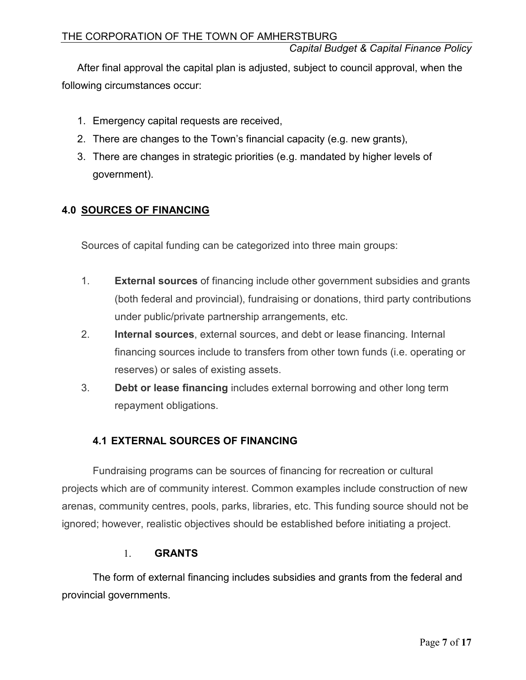After final approval the capital plan is adjusted, subject to council approval, when the following circumstances occur:

- 1. Emergency capital requests are received,
- 2. There are changes to the Town's financial capacity (e.g. new grants),
- 3. There are changes in strategic priorities (e.g. mandated by higher levels of government).

## **4.0 SOURCES OF FINANCING**

Sources of capital funding can be categorized into three main groups:

- 1. **External sources** of financing include other government subsidies and grants (both federal and provincial), fundraising or donations, third party contributions under public/private partnership arrangements, etc.
- 2. **Internal sources**, external sources, and debt or lease financing. Internal financing sources include to transfers from other town funds (i.e. operating or reserves) or sales of existing assets.
- 3. **Debt or lease financing** includes external borrowing and other long term repayment obligations.

## **4.1 EXTERNAL SOURCES OF FINANCING**

Fundraising programs can be sources of financing for recreation or cultural projects which are of community interest. Common examples include construction of new arenas, community centres, pools, parks, libraries, etc. This funding source should not be ignored; however, realistic objectives should be established before initiating a project.

## 1. **GRANTS**

The form of external financing includes subsidies and grants from the federal and provincial governments.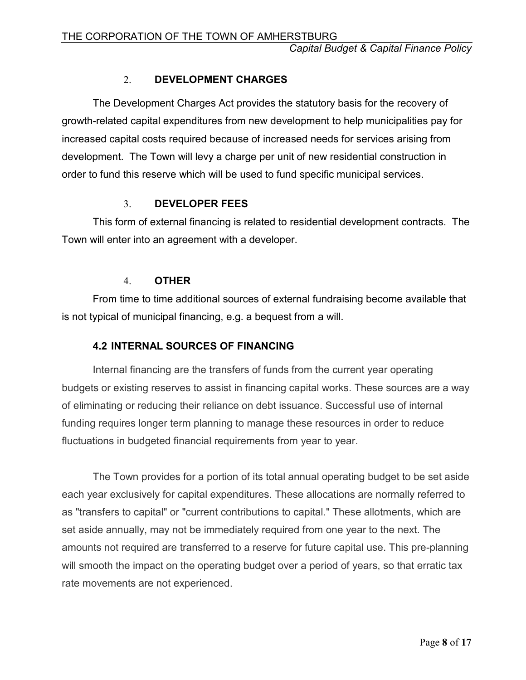#### 2. **DEVELOPMENT CHARGES**

The Development Charges Act provides the statutory basis for the recovery of growth-related capital expenditures from new development to help municipalities pay for increased capital costs required because of increased needs for services arising from development. The Town will levy a charge per unit of new residential construction in order to fund this reserve which will be used to fund specific municipal services.

#### 3. **DEVELOPER FEES**

This form of external financing is related to residential development contracts. The Town will enter into an agreement with a developer.

#### 4. **OTHER**

From time to time additional sources of external fundraising become available that is not typical of municipal financing, e.g. a bequest from a will.

#### **4.2 INTERNAL SOURCES OF FINANCING**

Internal financing are the transfers of funds from the current year operating budgets or existing reserves to assist in financing capital works. These sources are a way of eliminating or reducing their reliance on debt issuance. Successful use of internal funding requires longer term planning to manage these resources in order to reduce fluctuations in budgeted financial requirements from year to year.

The Town provides for a portion of its total annual operating budget to be set aside each year exclusively for capital expenditures. These allocations are normally referred to as "transfers to capital" or "current contributions to capital." These allotments, which are set aside annually, may not be immediately required from one year to the next. The amounts not required are transferred to a reserve for future capital use. This pre-planning will smooth the impact on the operating budget over a period of years, so that erratic tax rate movements are not experienced.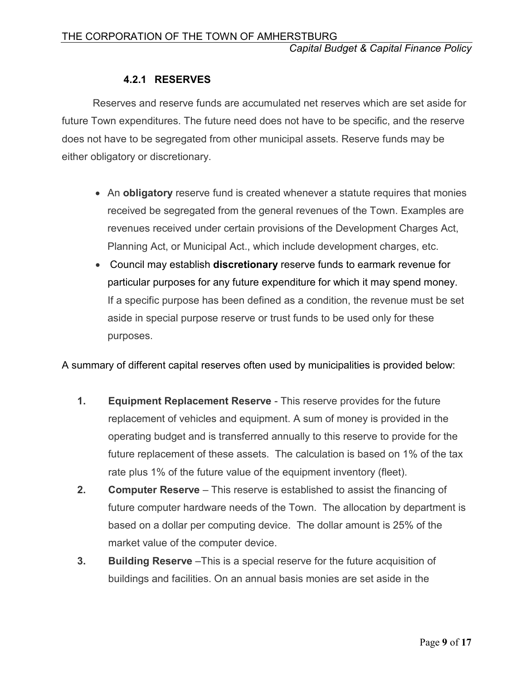## **4.2.1 RESERVES**

Reserves and reserve funds are accumulated net reserves which are set aside for future Town expenditures. The future need does not have to be specific, and the reserve does not have to be segregated from other municipal assets. Reserve funds may be either obligatory or discretionary.

- An **obligatory** reserve fund is created whenever a statute requires that monies received be segregated from the general revenues of the Town. Examples are revenues received under certain provisions of the Development Charges Act, Planning Act, or Municipal Act., which include development charges, etc.
- Council may establish **discretionary** reserve funds to earmark revenue for particular purposes for any future expenditure for which it may spend money. If a specific purpose has been defined as a condition, the revenue must be set aside in special purpose reserve or trust funds to be used only for these purposes.

A summary of different capital reserves often used by municipalities is provided below:

- **1. Equipment Replacement Reserve** This reserve provides for the future replacement of vehicles and equipment. A sum of money is provided in the operating budget and is transferred annually to this reserve to provide for the future replacement of these assets. The calculation is based on 1% of the tax rate plus 1% of the future value of the equipment inventory (fleet).
- **2. Computer Reserve** This reserve is established to assist the financing of future computer hardware needs of the Town. The allocation by department is based on a dollar per computing device. The dollar amount is 25% of the market value of the computer device.
- **3. Building Reserve** –This is a special reserve for the future acquisition of buildings and facilities. On an annual basis monies are set aside in the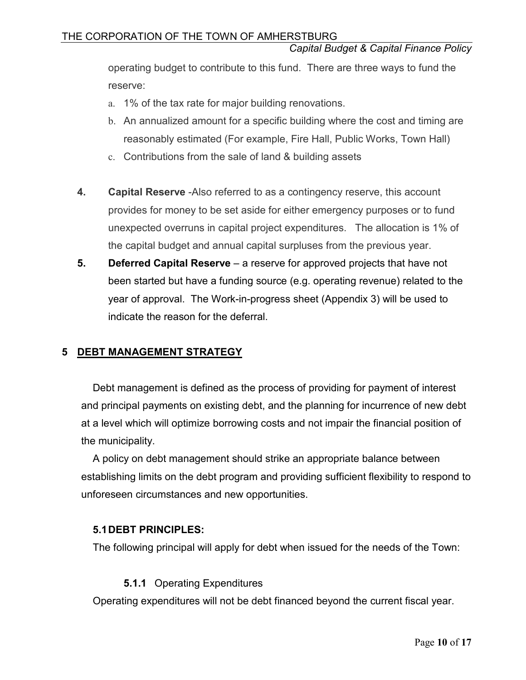operating budget to contribute to this fund. There are three ways to fund the reserve:

- a. 1% of the tax rate for major building renovations.
- b. An annualized amount for a specific building where the cost and timing are reasonably estimated (For example, Fire Hall, Public Works, Town Hall)
- c. Contributions from the sale of land & building assets
- **4. Capital Reserve** -Also referred to as a contingency reserve, this account provides for money to be set aside for either emergency purposes or to fund unexpected overruns in capital project expenditures. The allocation is 1% of the capital budget and annual capital surpluses from the previous year.
- **5. Deferred Capital Reserve** a reserve for approved projects that have not been started but have a funding source (e.g. operating revenue) related to the year of approval. The Work-in-progress sheet (Appendix 3) will be used to indicate the reason for the deferral.

## **5 DEBT MANAGEMENT STRATEGY**

Debt management is defined as the process of providing for payment of interest and principal payments on existing debt, and the planning for incurrence of new debt at a level which will optimize borrowing costs and not impair the financial position of the municipality.

A policy on debt management should strike an appropriate balance between establishing limits on the debt program and providing sufficient flexibility to respond to unforeseen circumstances and new opportunities.

#### **5.1DEBT PRINCIPLES:**

The following principal will apply for debt when issued for the needs of the Town:

#### **5.1.1** Operating Expenditures

Operating expenditures will not be debt financed beyond the current fiscal year.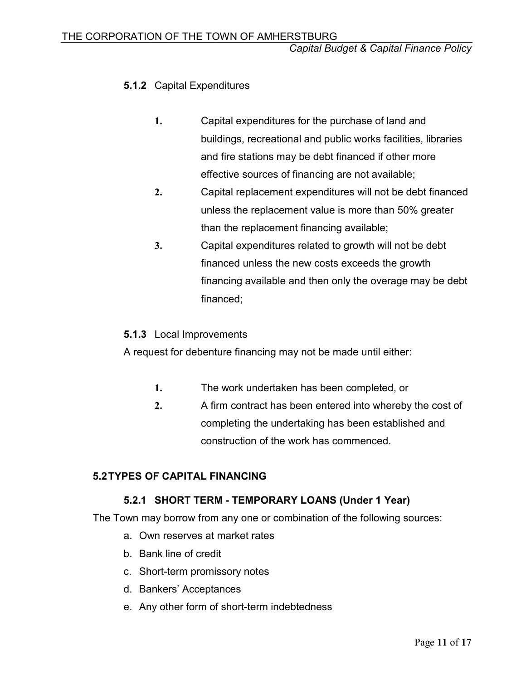## **5.1.2** Capital Expenditures

- **1.** Capital expenditures for the purchase of land and buildings, recreational and public works facilities, libraries and fire stations may be debt financed if other more effective sources of financing are not available;
- **2.** Capital replacement expenditures will not be debt financed unless the replacement value is more than 50% greater than the replacement financing available;
- **3.** Capital expenditures related to growth will not be debt financed unless the new costs exceeds the growth financing available and then only the overage may be debt financed;

## **5.1.3** Local Improvements

A request for debenture financing may not be made until either:

- **1.** The work undertaken has been completed, or
- **2.** A firm contract has been entered into whereby the cost of completing the undertaking has been established and construction of the work has commenced.

## **5.2TYPES OF CAPITAL FINANCING**

## **5.2.1 SHORT TERM - TEMPORARY LOANS (Under 1 Year)**

The Town may borrow from any one or combination of the following sources:

- a. Own reserves at market rates
- b. Bank line of credit
- c. Short-term promissory notes
- d. Bankers' Acceptances
- e. Any other form of short-term indebtedness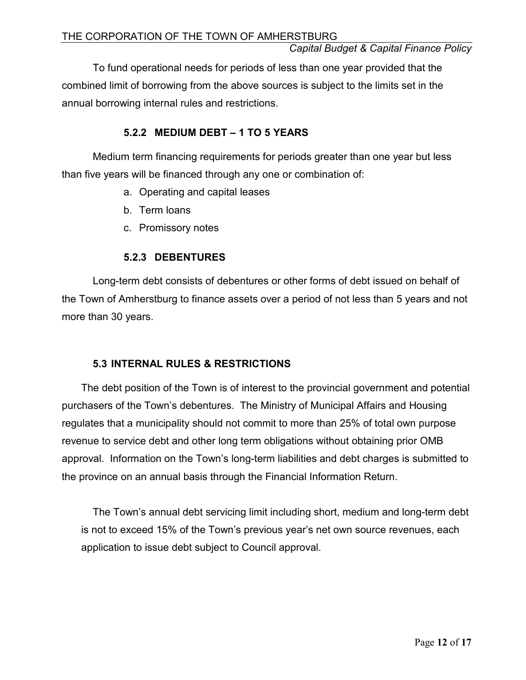To fund operational needs for periods of less than one year provided that the combined limit of borrowing from the above sources is subject to the limits set in the annual borrowing internal rules and restrictions.

## **5.2.2 MEDIUM DEBT – 1 TO 5 YEARS**

Medium term financing requirements for periods greater than one year but less than five years will be financed through any one or combination of:

- a. Operating and capital leases
- b. Term loans
- c. Promissory notes

## **5.2.3 DEBENTURES**

Long-term debt consists of debentures or other forms of debt issued on behalf of the Town of Amherstburg to finance assets over a period of not less than 5 years and not more than 30 years.

## **5.3 INTERNAL RULES & RESTRICTIONS**

The debt position of the Town is of interest to the provincial government and potential purchasers of the Town's debentures. The Ministry of Municipal Affairs and Housing regulates that a municipality should not commit to more than 25% of total own purpose revenue to service debt and other long term obligations without obtaining prior OMB approval. Information on the Town's long-term liabilities and debt charges is submitted to the province on an annual basis through the Financial Information Return.

The Town's annual debt servicing limit including short, medium and long-term debt is not to exceed 15% of the Town's previous year's net own source revenues, each application to issue debt subject to Council approval.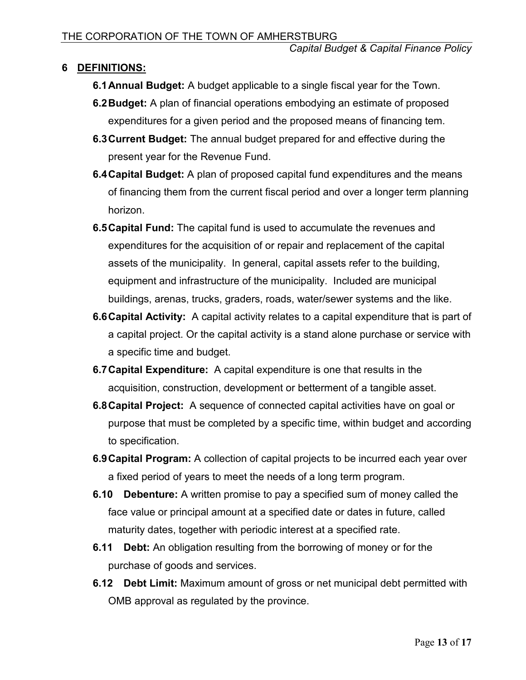## **6 DEFINITIONS:**

- **6.1Annual Budget:** A budget applicable to a single fiscal year for the Town.
- **6.2Budget:** A plan of financial operations embodying an estimate of proposed expenditures for a given period and the proposed means of financing tem.
- **6.3Current Budget:** The annual budget prepared for and effective during the present year for the Revenue Fund.
- **6.4Capital Budget:** A plan of proposed capital fund expenditures and the means of financing them from the current fiscal period and over a longer term planning horizon.
- **6.5Capital Fund:** The capital fund is used to accumulate the revenues and expenditures for the acquisition of or repair and replacement of the capital assets of the municipality. In general, capital assets refer to the building, equipment and infrastructure of the municipality. Included are municipal buildings, arenas, trucks, graders, roads, water/sewer systems and the like.
- **6.6Capital Activity:** A capital activity relates to a capital expenditure that is part of a capital project. Or the capital activity is a stand alone purchase or service with a specific time and budget.
- **6.7Capital Expenditure:** A capital expenditure is one that results in the acquisition, construction, development or betterment of a tangible asset.
- **6.8Capital Project:** A sequence of connected capital activities have on goal or purpose that must be completed by a specific time, within budget and according to specification.
- **6.9Capital Program:** A collection of capital projects to be incurred each year over a fixed period of years to meet the needs of a long term program.
- **6.10 Debenture:** A written promise to pay a specified sum of money called the face value or principal amount at a specified date or dates in future, called maturity dates, together with periodic interest at a specified rate.
- **6.11 Debt:** An obligation resulting from the borrowing of money or for the purchase of goods and services.
- **6.12 Debt Limit:** Maximum amount of gross or net municipal debt permitted with OMB approval as regulated by the province.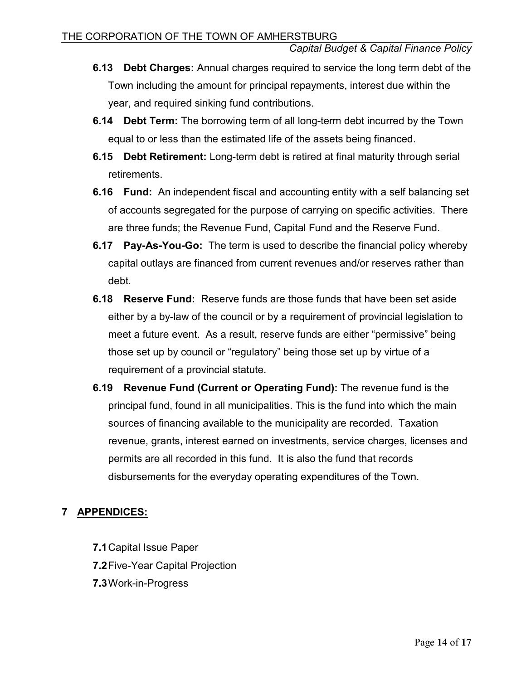- **6.13 Debt Charges:** Annual charges required to service the long term debt of the Town including the amount for principal repayments, interest due within the year, and required sinking fund contributions.
- **6.14 Debt Term:** The borrowing term of all long-term debt incurred by the Town equal to or less than the estimated life of the assets being financed.
- **6.15 Debt Retirement:** Long-term debt is retired at final maturity through serial retirements.
- **6.16 Fund:** An independent fiscal and accounting entity with a self balancing set of accounts segregated for the purpose of carrying on specific activities. There are three funds; the Revenue Fund, Capital Fund and the Reserve Fund.
- **6.17 Pay-As-You-Go:** The term is used to describe the financial policy whereby capital outlays are financed from current revenues and/or reserves rather than debt.
- **6.18 Reserve Fund:** Reserve funds are those funds that have been set aside either by a by-law of the council or by a requirement of provincial legislation to meet a future event. As a result, reserve funds are either "permissive" being those set up by council or "regulatory" being those set up by virtue of a requirement of a provincial statute.
- **6.19 Revenue Fund (Current or Operating Fund):** The revenue fund is the principal fund, found in all municipalities. This is the fund into which the main sources of financing available to the municipality are recorded. Taxation revenue, grants, interest earned on investments, service charges, licenses and permits are all recorded in this fund. It is also the fund that records disbursements for the everyday operating expenditures of the Town.

# **7 APPENDICES:**

- **7.1**Capital Issue Paper
- **7.2**Five-Year Capital Projection
- **7.3**Work-in-Progress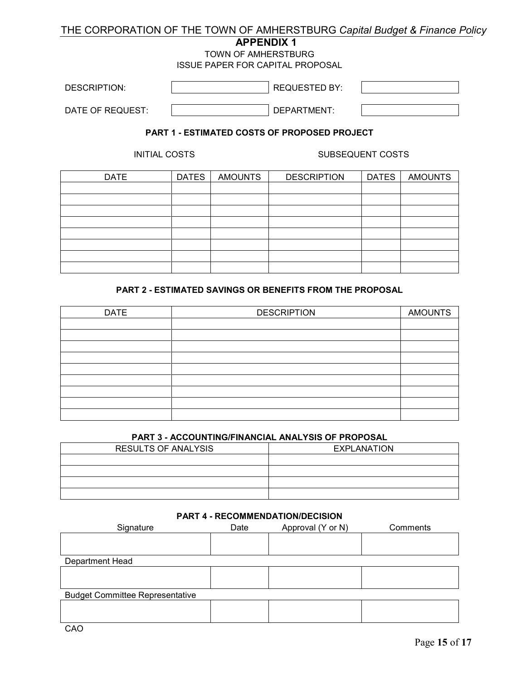## THE CORPORATION OF THE TOWN OF AMHERSTBURG *Capital Budget & Finance Policy*

#### **APPENDIX 1**

TOWN OF AMHERSTBURG

ISSUE PAPER FOR CAPITAL PROPOSAL

| <b>DESCRIPTION:</b> | <b>REQUESTED BY:</b> |  |
|---------------------|----------------------|--|
| DATE OF REQUEST:    | DEPARTMENT:          |  |

#### **PART 1 - ESTIMATED COSTS OF PROPOSED PROJECT**

INITIAL COSTS SUBSEQUENT COSTS

| <b>DATE</b> | <b>DATES</b> | <b>AMOUNTS</b> | <b>DESCRIPTION</b> | <b>DATES</b> | <b>AMOUNTS</b> |
|-------------|--------------|----------------|--------------------|--------------|----------------|
|             |              |                |                    |              |                |
|             |              |                |                    |              |                |
|             |              |                |                    |              |                |
|             |              |                |                    |              |                |
|             |              |                |                    |              |                |
|             |              |                |                    |              |                |
|             |              |                |                    |              |                |
|             |              |                |                    |              |                |

#### **PART 2 - ESTIMATED SAVINGS OR BENEFITS FROM THE PROPOSAL**

| <b>DATE</b> | <b>DESCRIPTION</b> | <b>AMOUNTS</b> |
|-------------|--------------------|----------------|
|             |                    |                |
|             |                    |                |
|             |                    |                |
|             |                    |                |
|             |                    |                |
|             |                    |                |
|             |                    |                |
|             |                    |                |
|             |                    |                |

#### **PART 3 - ACCOUNTING/FINANCIAL ANALYSIS OF PROPOSAL**

| <b>RESULTS OF ANALYSIS</b> | EXPLANATION |  |  |
|----------------------------|-------------|--|--|
|                            |             |  |  |
|                            |             |  |  |
|                            |             |  |  |
|                            |             |  |  |

#### **PART 4 - RECOMMENDATION/DECISION**

| Signature                              | Date | Approval (Y or N) | Comments |
|----------------------------------------|------|-------------------|----------|
|                                        |      |                   |          |
|                                        |      |                   |          |
| Department Head                        |      |                   |          |
|                                        |      |                   |          |
|                                        |      |                   |          |
| <b>Budget Committee Representative</b> |      |                   |          |
|                                        |      |                   |          |
|                                        |      |                   |          |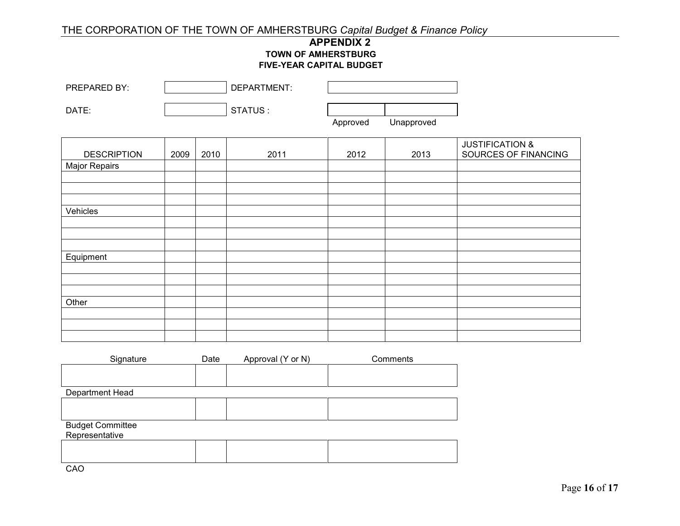#### THE CORPORATION OF THE TOWN OF AMHERSTBURG *Capital Budget & Finance Policy*

#### **APPENDIX 2 TOWN OF AMHERSTBURG FIVE-YEAR CAPITAL BUDGET**

| PREPARED BY:                              |      |      | DEPARTMENT:       |          |            |                                                    |
|-------------------------------------------|------|------|-------------------|----------|------------|----------------------------------------------------|
| DATE:                                     |      |      | STATUS:           |          |            |                                                    |
|                                           |      |      |                   | Approved | Unapproved |                                                    |
| <b>DESCRIPTION</b>                        | 2009 | 2010 | 2011              | 2012     | 2013       | <b>JUSTIFICATION &amp;</b><br>SOURCES OF FINANCING |
| Major Repairs                             |      |      |                   |          |            |                                                    |
|                                           |      |      |                   |          |            |                                                    |
| Vehicles                                  |      |      |                   |          |            |                                                    |
|                                           |      |      |                   |          |            |                                                    |
| Equipment                                 |      |      |                   |          |            |                                                    |
|                                           |      |      |                   |          |            |                                                    |
|                                           |      |      |                   |          |            |                                                    |
| Other                                     |      |      |                   |          |            |                                                    |
|                                           |      |      |                   |          |            |                                                    |
| Signature                                 |      | Date | Approval (Y or N) |          | Comments   |                                                    |
|                                           |      |      |                   |          |            |                                                    |
| Department Head                           |      |      |                   |          |            |                                                    |
|                                           |      |      |                   |          |            |                                                    |
| <b>Budget Committee</b><br>Representative |      |      |                   |          |            |                                                    |
|                                           |      |      |                   |          |            |                                                    |